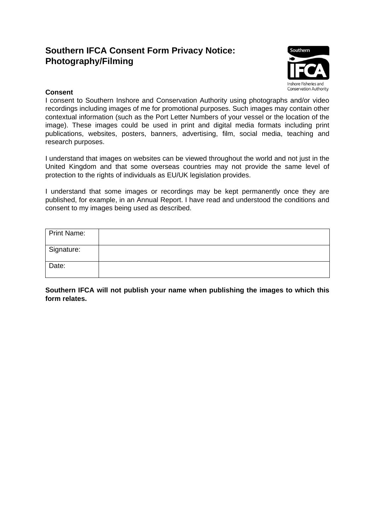# **Southern IFCA Consent Form Privacy Notice: Photography/Filming**



## **Consent**

I consent to Southern Inshore and Conservation Authority using photographs and/or video recordings including images of me for promotional purposes. Such images may contain other contextual information (such as the Port Letter Numbers of your vessel or the location of the image). These images could be used in print and digital media formats including print publications, websites, posters, banners, advertising, film, social media, teaching and research purposes.

I understand that images on websites can be viewed throughout the world and not just in the United Kingdom and that some overseas countries may not provide the same level of protection to the rights of individuals as EU/UK legislation provides.

I understand that some images or recordings may be kept permanently once they are published, for example, in an Annual Report. I have read and understood the conditions and consent to my images being used as described.

| Print Name: |  |
|-------------|--|
| Signature:  |  |
| Date:       |  |

**Southern IFCA will not publish your name when publishing the images to which this form relates.**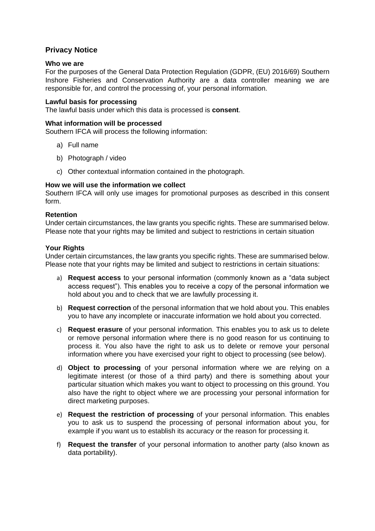# **Privacy Notice**

#### **Who we are**

For the purposes of the General Data Protection Regulation (GDPR, (EU) 2016/69) Southern Inshore Fisheries and Conservation Authority are a data controller meaning we are responsible for, and control the processing of, your personal information.

#### **Lawful basis for processing**

The lawful basis under which this data is processed is **consent**.

#### **What information will be processed**

Southern IFCA will process the following information:

- a) Full name
- b) Photograph / video
- c) Other contextual information contained in the photograph.

### **How we will use the information we collect**

Southern IFCA will only use images for promotional purposes as described in this consent form.

#### **Retention**

Under certain circumstances, the law grants you specific rights. These are summarised below. Please note that your rights may be limited and subject to restrictions in certain situation

#### **Your Rights**

Under certain circumstances, the law grants you specific rights. These are summarised below. Please note that your rights may be limited and subject to restrictions in certain situations:

- a) **Request access** to your personal information (commonly known as a "data subject access request"). This enables you to receive a copy of the personal information we hold about you and to check that we are lawfully processing it.
- b) **Request correction** of the personal information that we hold about you. This enables you to have any incomplete or inaccurate information we hold about you corrected.
- c) **Request erasure** of your personal information. This enables you to ask us to delete or remove personal information where there is no good reason for us continuing to process it. You also have the right to ask us to delete or remove your personal information where you have exercised your right to object to processing (see below).
- d) **Object to processing** of your personal information where we are relying on a legitimate interest (or those of a third party) and there is something about your particular situation which makes you want to object to processing on this ground. You also have the right to object where we are processing your personal information for direct marketing purposes.
- e) **Request the restriction of processing** of your personal information. This enables you to ask us to suspend the processing of personal information about you, for example if you want us to establish its accuracy or the reason for processing it.
- f) **Request the transfer** of your personal information to another party (also known as data portability).